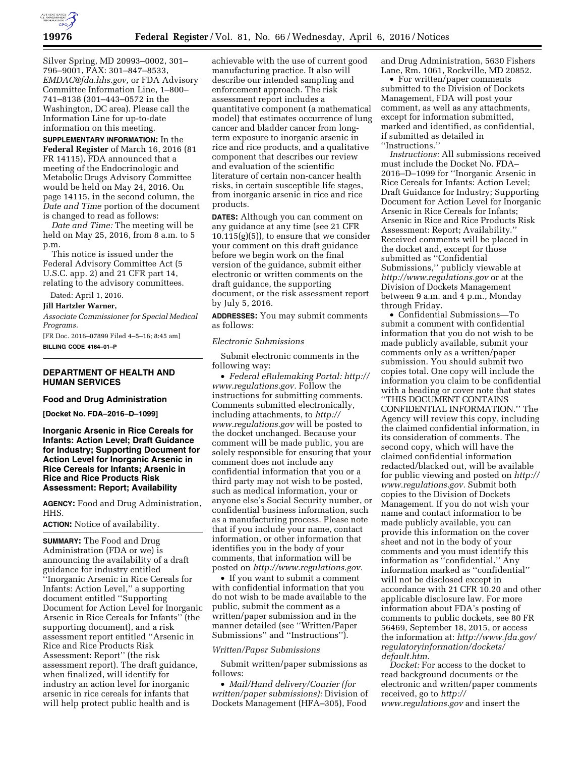

Silver Spring, MD 20993–0002, 301– 796–9001, FAX: 301–847–8533, *[EMDAC@fda.hhs.gov,](mailto:EMDAC@fda.hhs.gov)* or FDA Advisory Committee Information Line, 1–800– 741–8138 (301–443–0572 in the Washington, DC area). Please call the Information Line for up-to-date information on this meeting.

**SUPPLEMENTARY INFORMATION:** In the **Federal Register** of March 16, 2016 (81 FR 14115), FDA announced that a meeting of the Endocrinologic and Metabolic Drugs Advisory Committee would be held on May 24, 2016. On page 14115, in the second column, the *Date and Time* portion of the document is changed to read as follows:

*Date and Time:* The meeting will be held on May 25, 2016, from 8 a.m. to 5 p.m.

This notice is issued under the Federal Advisory Committee Act (5 U.S.C. app. 2) and 21 CFR part 14, relating to the advisory committees.

Dated: April 1, 2016.

#### **Jill Hartzler Warner,**

*Associate Commissioner for Special Medical Programs.* 

[FR Doc. 2016–07899 Filed 4–5–16; 8:45 am] **BILLING CODE 4164–01–P** 

# **DEPARTMENT OF HEALTH AND HUMAN SERVICES**

### **Food and Drug Administration**

**[Docket No. FDA–2016–D–1099]** 

## **Inorganic Arsenic in Rice Cereals for Infants: Action Level; Draft Guidance for Industry; Supporting Document for Action Level for Inorganic Arsenic in Rice Cereals for Infants; Arsenic in Rice and Rice Products Risk Assessment: Report; Availability**

**AGENCY:** Food and Drug Administration, HHS.

**ACTION:** Notice of availability.

**SUMMARY:** The Food and Drug Administration (FDA or we) is announcing the availability of a draft guidance for industry entitled ''Inorganic Arsenic in Rice Cereals for Infants: Action Level,'' a supporting document entitled ''Supporting Document for Action Level for Inorganic Arsenic in Rice Cereals for Infants'' (the supporting document), and a risk assessment report entitled ''Arsenic in Rice and Rice Products Risk Assessment: Report'' (the risk assessment report). The draft guidance, when finalized, will identify for industry an action level for inorganic arsenic in rice cereals for infants that will help protect public health and is

achievable with the use of current good manufacturing practice. It also will describe our intended sampling and enforcement approach. The risk assessment report includes a quantitative component (a mathematical model) that estimates occurrence of lung cancer and bladder cancer from longterm exposure to inorganic arsenic in rice and rice products, and a qualitative component that describes our review and evaluation of the scientific literature of certain non-cancer health risks, in certain susceptible life stages, from inorganic arsenic in rice and rice products.

**DATES:** Although you can comment on any guidance at any time (see 21 CFR 10.115(g)(5)), to ensure that we consider your comment on this draft guidance before we begin work on the final version of the guidance, submit either electronic or written comments on the draft guidance, the supporting document, or the risk assessment report by July 5, 2016.

**ADDRESSES:** You may submit comments as follows:

#### *Electronic Submissions*

Submit electronic comments in the following way:

• *Federal eRulemaking Portal: [http://](http://www.regulations.gov)  [www.regulations.gov.](http://www.regulations.gov)* Follow the instructions for submitting comments. Comments submitted electronically, including attachments, to *[http://](http://www.regulations.gov) [www.regulations.gov](http://www.regulations.gov)* will be posted to the docket unchanged. Because your comment will be made public, you are solely responsible for ensuring that your comment does not include any confidential information that you or a third party may not wish to be posted, such as medical information, your or anyone else's Social Security number, or confidential business information, such as a manufacturing process. Please note that if you include your name, contact information, or other information that identifies you in the body of your comments, that information will be posted on *[http://www.regulations.gov.](http://www.regulations.gov)* 

• If you want to submit a comment with confidential information that you do not wish to be made available to the public, submit the comment as a written/paper submission and in the manner detailed (see ''Written/Paper Submissions'' and ''Instructions'').

## *Written/Paper Submissions*

Submit written/paper submissions as follows:

• *Mail/Hand delivery/Courier (for written/paper submissions):* Division of Dockets Management (HFA–305), Food and Drug Administration, 5630 Fishers Lane, Rm. 1061, Rockville, MD 20852.

• For written/paper comments submitted to the Division of Dockets Management, FDA will post your comment, as well as any attachments, except for information submitted, marked and identified, as confidential, if submitted as detailed in ''Instructions.''

*Instructions:* All submissions received must include the Docket No. FDA– 2016–D–1099 for ''Inorganic Arsenic in Rice Cereals for Infants: Action Level; Draft Guidance for Industry; Supporting Document for Action Level for Inorganic Arsenic in Rice Cereals for Infants; Arsenic in Rice and Rice Products Risk Assessment: Report; Availability.'' Received comments will be placed in the docket and, except for those submitted as ''Confidential Submissions,'' publicly viewable at *<http://www.regulations.gov>* or at the Division of Dockets Management between 9 a.m. and 4 p.m., Monday through Friday.

• Confidential Submissions—To submit a comment with confidential information that you do not wish to be made publicly available, submit your comments only as a written/paper submission. You should submit two copies total. One copy will include the information you claim to be confidential with a heading or cover note that states ''THIS DOCUMENT CONTAINS CONFIDENTIAL INFORMATION.'' The Agency will review this copy, including the claimed confidential information, in its consideration of comments. The second copy, which will have the claimed confidential information redacted/blacked out, will be available for public viewing and posted on *[http://](http://www.regulations.gov)  [www.regulations.gov.](http://www.regulations.gov)* Submit both copies to the Division of Dockets Management. If you do not wish your name and contact information to be made publicly available, you can provide this information on the cover sheet and not in the body of your comments and you must identify this information as ''confidential.'' Any information marked as ''confidential'' will not be disclosed except in accordance with 21 CFR 10.20 and other applicable disclosure law. For more information about FDA's posting of comments to public dockets, see 80 FR 56469, September 18, 2015, or access the information at: *[http://www.fda.gov/](http://www.fda.gov/regulatoryinformation/dockets/default.htm)  [regulatoryinformation/dockets/](http://www.fda.gov/regulatoryinformation/dockets/default.htm) [default.htm.](http://www.fda.gov/regulatoryinformation/dockets/default.htm)* 

*Docket:* For access to the docket to read background documents or the electronic and written/paper comments received, go to *[http://](http://www.regulations.gov) [www.regulations.gov](http://www.regulations.gov)* and insert the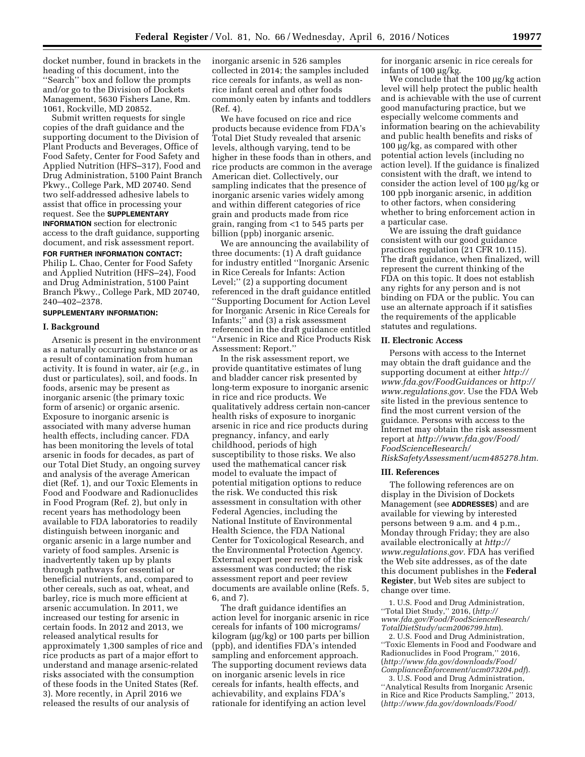docket number, found in brackets in the heading of this document, into the ''Search'' box and follow the prompts and/or go to the Division of Dockets Management, 5630 Fishers Lane, Rm. 1061, Rockville, MD 20852.

Submit written requests for single copies of the draft guidance and the supporting document to the Division of Plant Products and Beverages, Office of Food Safety, Center for Food Safety and Applied Nutrition (HFS–317), Food and Drug Administration, 5100 Paint Branch Pkwy., College Park, MD 20740. Send two self-addressed adhesive labels to assist that office in processing your request. See the **SUPPLEMENTARY INFORMATION** section for electronic access to the draft guidance, supporting document, and risk assessment report.

#### **FOR FURTHER INFORMATION CONTACT:**

Philip L. Chao, Center for Food Safety and Applied Nutrition (HFS–24), Food and Drug Administration, 5100 Paint Branch Pkwy., College Park, MD 20740, 240–402–2378.

### **SUPPLEMENTARY INFORMATION:**

#### **I. Background**

Arsenic is present in the environment as a naturally occurring substance or as a result of contamination from human activity. It is found in water, air (*e.g.,* in dust or particulates), soil, and foods. In foods, arsenic may be present as inorganic arsenic (the primary toxic form of arsenic) or organic arsenic. Exposure to inorganic arsenic is associated with many adverse human health effects, including cancer. FDA has been monitoring the levels of total arsenic in foods for decades, as part of our Total Diet Study, an ongoing survey and analysis of the average American diet (Ref. 1), and our Toxic Elements in Food and Foodware and Radionuclides in Food Program (Ref. 2), but only in recent years has methodology been available to FDA laboratories to readily distinguish between inorganic and organic arsenic in a large number and variety of food samples. Arsenic is inadvertently taken up by plants through pathways for essential or beneficial nutrients, and, compared to other cereals, such as oat, wheat, and barley, rice is much more efficient at arsenic accumulation. In 2011, we increased our testing for arsenic in certain foods. In 2012 and 2013, we released analytical results for approximately 1,300 samples of rice and rice products as part of a major effort to understand and manage arsenic-related risks associated with the consumption of these foods in the United States (Ref. 3). More recently, in April 2016 we released the results of our analysis of

inorganic arsenic in 526 samples collected in 2014; the samples included rice cereals for infants, as well as nonrice infant cereal and other foods commonly eaten by infants and toddlers (Ref. 4).

We have focused on rice and rice products because evidence from FDA's Total Diet Study revealed that arsenic levels, although varying, tend to be higher in these foods than in others, and rice products are common in the average American diet. Collectively, our sampling indicates that the presence of inorganic arsenic varies widely among and within different categories of rice grain and products made from rice grain, ranging from <1 to 545 parts per billion (ppb) inorganic arsenic.

We are announcing the availability of three documents: (1) A draft guidance for industry entitled ''Inorganic Arsenic in Rice Cereals for Infants: Action Level;'' (2) a supporting document referenced in the draft guidance entitled ''Supporting Document for Action Level for Inorganic Arsenic in Rice Cereals for Infants;'' and (3) a risk assessment referenced in the draft guidance entitled ''Arsenic in Rice and Rice Products Risk Assessment: Report.''

In the risk assessment report, we provide quantitative estimates of lung and bladder cancer risk presented by long-term exposure to inorganic arsenic in rice and rice products. We qualitatively address certain non-cancer health risks of exposure to inorganic arsenic in rice and rice products during pregnancy, infancy, and early childhood, periods of high susceptibility to those risks. We also used the mathematical cancer risk model to evaluate the impact of potential mitigation options to reduce the risk. We conducted this risk assessment in consultation with other Federal Agencies, including the National Institute of Environmental Health Science, the FDA National Center for Toxicological Research, and the Environmental Protection Agency. External expert peer review of the risk assessment was conducted; the risk assessment report and peer review documents are available online (Refs. 5, 6, and 7).

The draft guidance identifies an action level for inorganic arsenic in rice cereals for infants of 100 micrograms/  $kilogram (µg/kg)$  or 100 parts per billion (ppb), and identifies FDA's intended sampling and enforcement approach. The supporting document reviews data on inorganic arsenic levels in rice cereals for infants, health effects, and achievability, and explains FDA's rationale for identifying an action level

for inorganic arsenic in rice cereals for infants of  $100 \mu g/kg$ .

We conclude that the  $100 \mu g/kg$  action level will help protect the public health and is achievable with the use of current good manufacturing practice, but we especially welcome comments and information bearing on the achievability and public health benefits and risks of  $100 \mu g/kg$ , as compared with other potential action levels (including no action level). If the guidance is finalized consistent with the draft, we intend to consider the action level of  $100 \mu g/kg$  or 100 ppb inorganic arsenic, in addition to other factors, when considering whether to bring enforcement action in a particular case.

We are issuing the draft guidance consistent with our good guidance practices regulation (21 CFR 10.115). The draft guidance, when finalized, will represent the current thinking of the FDA on this topic. It does not establish any rights for any person and is not binding on FDA or the public. You can use an alternate approach if it satisfies the requirements of the applicable statutes and regulations.

## **II. Electronic Access**

Persons with access to the Internet may obtain the draft guidance and the supporting document at either *[http://](http://www.fda.gov/FoodGuidances) [www.fda.gov/FoodGuidances](http://www.fda.gov/FoodGuidances)* or *[http://](http://www.regulations.gov) [www.regulations.gov.](http://www.regulations.gov)* Use the FDA Web site listed in the previous sentence to find the most current version of the guidance. Persons with access to the Internet may obtain the risk assessment report at *[http://www.fda.gov/Food/](http://www.fda.gov/Food/FoodScienceResearch/RiskSafetyAssessment/ucm485278.htm) [FoodScienceResearch/](http://www.fda.gov/Food/FoodScienceResearch/RiskSafetyAssessment/ucm485278.htm) [RiskSafetyAssessment/ucm485278.htm.](http://www.fda.gov/Food/FoodScienceResearch/RiskSafetyAssessment/ucm485278.htm)* 

### **III. References**

The following references are on display in the Division of Dockets Management (see **ADDRESSES**) and are available for viewing by interested persons between 9 a.m. and 4 p.m., Monday through Friday; they are also available electronically at *[http://](http://www.regulations.gov) [www.regulations.gov.](http://www.regulations.gov)* FDA has verified the Web site addresses, as of the date this document publishes in the **Federal Register**, but Web sites are subject to change over time.

1. U.S. Food and Drug Administration, ''Total Diet Study,'' 2016, (*[http://](http://www.fda.gov/Food/FoodScienceResearch/TotalDietStudy/ucm2006799.htm) [www.fda.gov/Food/FoodScienceResearch/](http://www.fda.gov/Food/FoodScienceResearch/TotalDietStudy/ucm2006799.htm) [TotalDietStudy/ucm2006799.htm](http://www.fda.gov/Food/FoodScienceResearch/TotalDietStudy/ucm2006799.htm)*).

2. U.S. Food and Drug Administration, ''Toxic Elements in Food and Foodware and Radionuclides in Food Program,'' 2016, (*[http://www.fda.gov/downloads/Food/](http://www.fda.gov/downloads/Food/ComplianceEnforcement/ucm073204.pdf) [ComplianceEnforcement/ucm073204.pdf](http://www.fda.gov/downloads/Food/ComplianceEnforcement/ucm073204.pdf)*).

3. U.S. Food and Drug Administration, ''Analytical Results from Inorganic Arsenic in Rice and Rice Products Sampling,'' 2013, (*<http://www.fda.gov/downloads/Food/>*